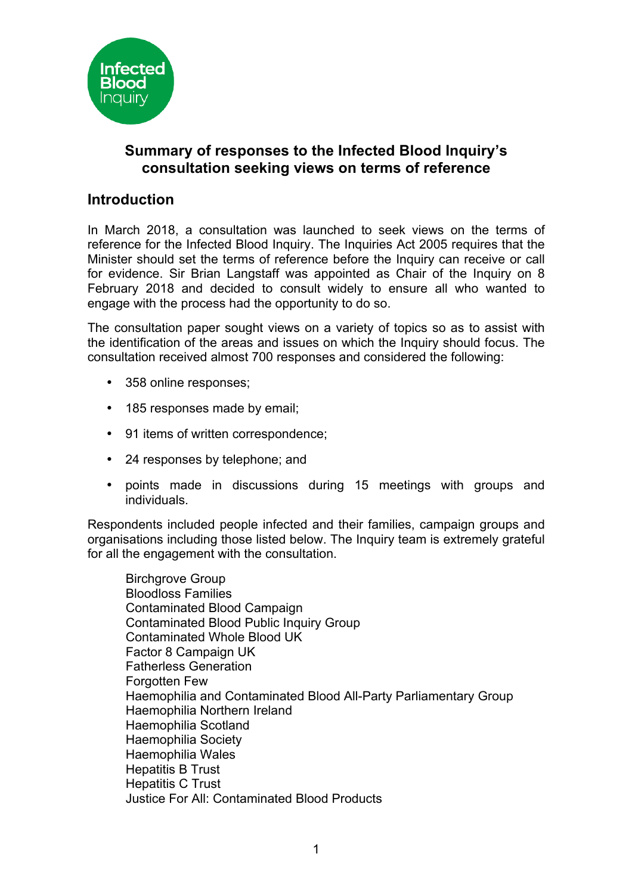

# **Summary of responses to the Infected Blood Inquiry's consultation seeking views on terms of reference**

## **Introduction**

In March 2018, a consultation was launched to seek views on the terms of reference for the Infected Blood Inquiry. The Inquiries Act 2005 requires that the Minister should set the terms of reference before the Inquiry can receive or call for evidence. Sir Brian Langstaff was appointed as Chair of the Inquiry on 8 February 2018 and decided to consult widely to ensure all who wanted to engage with the process had the opportunity to do so.

The consultation paper sought views on a variety of topics so as to assist with the identification of the areas and issues on which the Inquiry should focus. The consultation received almost 700 responses and considered the following:

- 358 online responses:
- 185 responses made by email;
- 91 items of written correspondence;
- 24 responses by telephone; and
- points made in discussions during 15 meetings with groups and individuals.

Respondents included people infected and their families, campaign groups and organisations including those listed below. The Inquiry team is extremely grateful for all the engagement with the consultation.

Birchgrove Group Bloodloss Families Contaminated Blood Campaign Contaminated Blood Public Inquiry Group Contaminated Whole Blood UK Factor 8 Campaign UK Fatherless Generation Forgotten Few Haemophilia and Contaminated Blood All-Party Parliamentary Group Haemophilia Northern Ireland Haemophilia Scotland Haemophilia Society Haemophilia Wales Hepatitis B Trust Hepatitis C Trust Justice For All: Contaminated Blood Products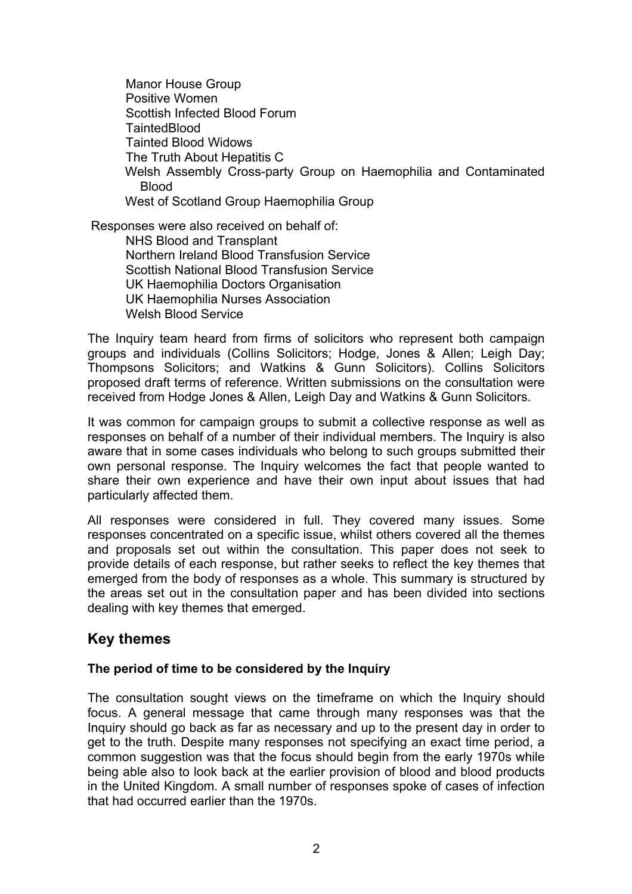Manor House Group Positive Women Scottish Infected Blood Forum **TaintedBlood** Tainted Blood Widows The Truth About Hepatitis C Welsh Assembly Cross-party Group on Haemophilia and Contaminated Blood West of Scotland Group Haemophilia Group

Responses were also received on behalf of:

NHS Blood and Transplant Northern Ireland Blood Transfusion Service Scottish National Blood Transfusion Service UK Haemophilia Doctors Organisation UK Haemophilia Nurses Association Welsh Blood Service

The Inquiry team heard from firms of solicitors who represent both campaign groups and individuals (Collins Solicitors; Hodge, Jones & Allen; Leigh Day; Thompsons Solicitors; and Watkins & Gunn Solicitors). Collins Solicitors proposed draft terms of reference. Written submissions on the consultation were received from Hodge Jones & Allen, Leigh Day and Watkins & Gunn Solicitors.

It was common for campaign groups to submit a collective response as well as responses on behalf of a number of their individual members. The Inquiry is also aware that in some cases individuals who belong to such groups submitted their own personal response. The Inquiry welcomes the fact that people wanted to share their own experience and have their own input about issues that had particularly affected them.

All responses were considered in full. They covered many issues. Some responses concentrated on a specific issue, whilst others covered all the themes and proposals set out within the consultation. This paper does not seek to provide details of each response, but rather seeks to reflect the key themes that emerged from the body of responses as a whole. This summary is structured by the areas set out in the consultation paper and has been divided into sections dealing with key themes that emerged.

## **Key themes**

## **The period of time to be considered by the Inquiry**

The consultation sought views on the timeframe on which the Inquiry should focus. A general message that came through many responses was that the Inquiry should go back as far as necessary and up to the present day in order to get to the truth. Despite many responses not specifying an exact time period, a common suggestion was that the focus should begin from the early 1970s while being able also to look back at the earlier provision of blood and blood products in the United Kingdom. A small number of responses spoke of cases of infection that had occurred earlier than the 1970s.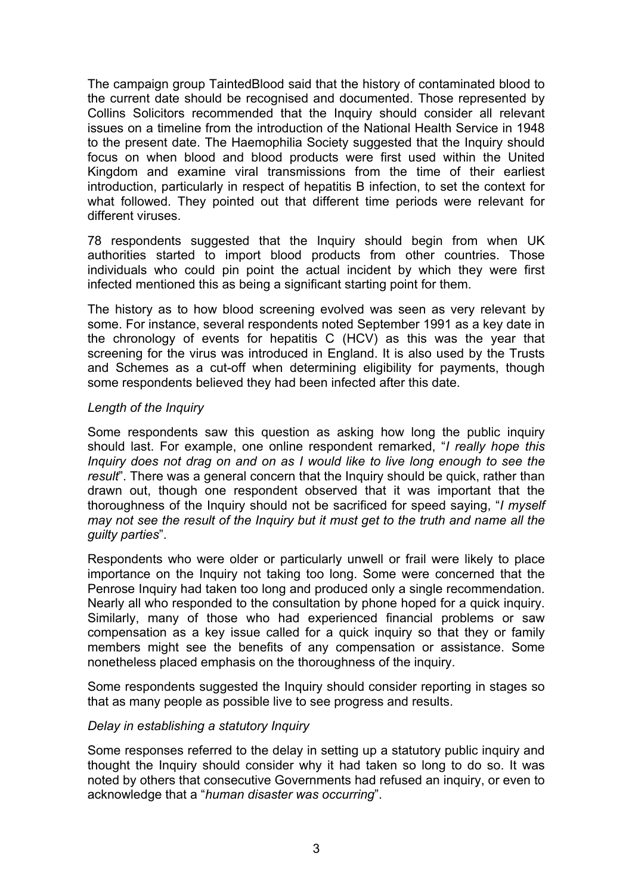The campaign group TaintedBlood said that the history of contaminated blood to the current date should be recognised and documented. Those represented by Collins Solicitors recommended that the Inquiry should consider all relevant issues on a timeline from the introduction of the National Health Service in 1948 to the present date. The Haemophilia Society suggested that the Inquiry should focus on when blood and blood products were first used within the United Kingdom and examine viral transmissions from the time of their earliest introduction, particularly in respect of hepatitis B infection, to set the context for what followed. They pointed out that different time periods were relevant for different viruses.

78 respondents suggested that the Inquiry should begin from when UK authorities started to import blood products from other countries. Those individuals who could pin point the actual incident by which they were first infected mentioned this as being a significant starting point for them.

The history as to how blood screening evolved was seen as very relevant by some. For instance, several respondents noted September 1991 as a key date in the chronology of events for hepatitis C (HCV) as this was the year that screening for the virus was introduced in England. It is also used by the Trusts and Schemes as a cut-off when determining eligibility for payments, though some respondents believed they had been infected after this date.

#### *Length of the Inquiry*

Some respondents saw this question as asking how long the public inquiry should last. For example, one online respondent remarked, "*I really hope this Inquiry does not drag on and on as I would like to live long enough to see the result*". There was a general concern that the Inquiry should be quick, rather than drawn out, though one respondent observed that it was important that the thoroughness of the Inquiry should not be sacrificed for speed saying, "*I myself may not see the result of the Inquiry but it must get to the truth and name all the guilty parties*".

Respondents who were older or particularly unwell or frail were likely to place importance on the Inquiry not taking too long. Some were concerned that the Penrose Inquiry had taken too long and produced only a single recommendation. Nearly all who responded to the consultation by phone hoped for a quick inquiry. Similarly, many of those who had experienced financial problems or saw compensation as a key issue called for a quick inquiry so that they or family members might see the benefits of any compensation or assistance. Some nonetheless placed emphasis on the thoroughness of the inquiry.

Some respondents suggested the Inquiry should consider reporting in stages so that as many people as possible live to see progress and results.

## *Delay in establishing a statutory Inquiry*

Some responses referred to the delay in setting up a statutory public inquiry and thought the Inquiry should consider why it had taken so long to do so. It was noted by others that consecutive Governments had refused an inquiry, or even to acknowledge that a "*human disaster was occurring*".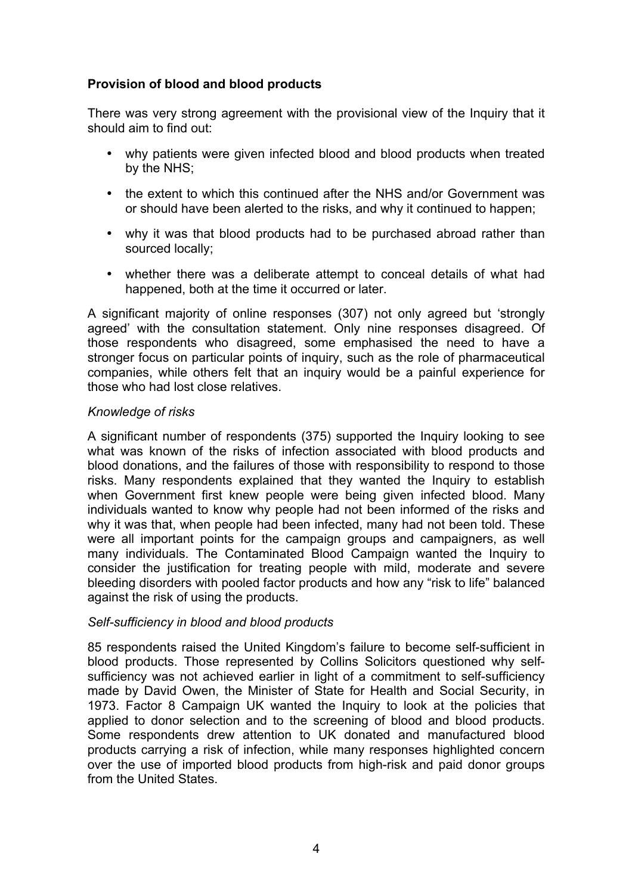## **Provision of blood and blood products**

There was very strong agreement with the provisional view of the Inquiry that it should aim to find out:

- why patients were given infected blood and blood products when treated by the NHS;
- the extent to which this continued after the NHS and/or Government was or should have been alerted to the risks, and why it continued to happen;
- why it was that blood products had to be purchased abroad rather than sourced locally;
- whether there was a deliberate attempt to conceal details of what had happened, both at the time it occurred or later.

A significant majority of online responses (307) not only agreed but 'strongly agreed' with the consultation statement. Only nine responses disagreed. Of those respondents who disagreed, some emphasised the need to have a stronger focus on particular points of inquiry, such as the role of pharmaceutical companies, while others felt that an inquiry would be a painful experience for those who had lost close relatives.

## *Knowledge of risks*

A significant number of respondents (375) supported the Inquiry looking to see what was known of the risks of infection associated with blood products and blood donations, and the failures of those with responsibility to respond to those risks. Many respondents explained that they wanted the Inquiry to establish when Government first knew people were being given infected blood. Many individuals wanted to know why people had not been informed of the risks and why it was that, when people had been infected, many had not been told. These were all important points for the campaign groups and campaigners, as well many individuals. The Contaminated Blood Campaign wanted the Inquiry to consider the justification for treating people with mild, moderate and severe bleeding disorders with pooled factor products and how any "risk to life" balanced against the risk of using the products.

#### *Self-sufficiency in blood and blood products*

85 respondents raised the United Kingdom's failure to become self-sufficient in blood products. Those represented by Collins Solicitors questioned why selfsufficiency was not achieved earlier in light of a commitment to self-sufficiency made by David Owen, the Minister of State for Health and Social Security, in 1973. Factor 8 Campaign UK wanted the Inquiry to look at the policies that applied to donor selection and to the screening of blood and blood products. Some respondents drew attention to UK donated and manufactured blood products carrying a risk of infection, while many responses highlighted concern over the use of imported blood products from high-risk and paid donor groups from the United States.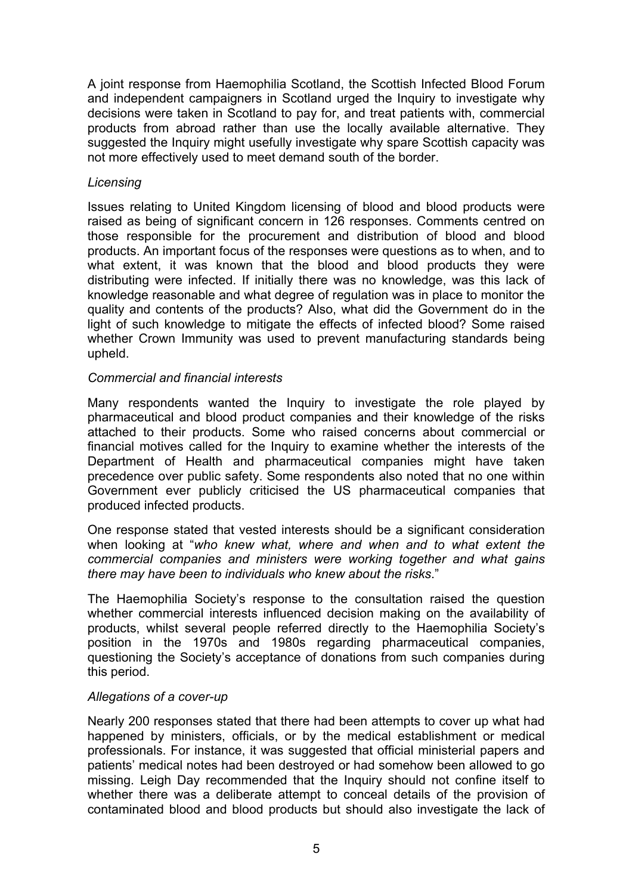A joint response from Haemophilia Scotland, the Scottish Infected Blood Forum and independent campaigners in Scotland urged the Inquiry to investigate why decisions were taken in Scotland to pay for, and treat patients with, commercial products from abroad rather than use the locally available alternative. They suggested the Inquiry might usefully investigate why spare Scottish capacity was not more effectively used to meet demand south of the border.

#### *Licensing*

Issues relating to United Kingdom licensing of blood and blood products were raised as being of significant concern in 126 responses. Comments centred on those responsible for the procurement and distribution of blood and blood products. An important focus of the responses were questions as to when, and to what extent, it was known that the blood and blood products they were distributing were infected. If initially there was no knowledge, was this lack of knowledge reasonable and what degree of regulation was in place to monitor the quality and contents of the products? Also, what did the Government do in the light of such knowledge to mitigate the effects of infected blood? Some raised whether Crown Immunity was used to prevent manufacturing standards being upheld.

## *Commercial and financial interests*

Many respondents wanted the Inquiry to investigate the role played by pharmaceutical and blood product companies and their knowledge of the risks attached to their products. Some who raised concerns about commercial or financial motives called for the Inquiry to examine whether the interests of the Department of Health and pharmaceutical companies might have taken precedence over public safety. Some respondents also noted that no one within Government ever publicly criticised the US pharmaceutical companies that produced infected products.

One response stated that vested interests should be a significant consideration when looking at "*who knew what, where and when and to what extent the commercial companies and ministers were working together and what gains there may have been to individuals who knew about the risks*."

The Haemophilia Society's response to the consultation raised the question whether commercial interests influenced decision making on the availability of products, whilst several people referred directly to the Haemophilia Society's position in the 1970s and 1980s regarding pharmaceutical companies, questioning the Society's acceptance of donations from such companies during this period.

## *Allegations of a cover-up*

Nearly 200 responses stated that there had been attempts to cover up what had happened by ministers, officials, or by the medical establishment or medical professionals. For instance, it was suggested that official ministerial papers and patients' medical notes had been destroyed or had somehow been allowed to go missing. Leigh Day recommended that the Inquiry should not confine itself to whether there was a deliberate attempt to conceal details of the provision of contaminated blood and blood products but should also investigate the lack of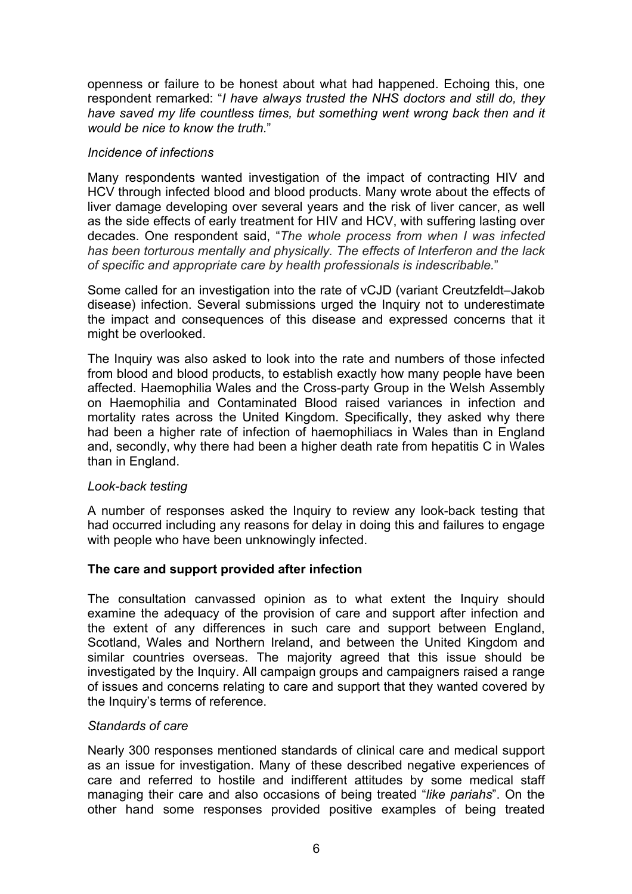openness or failure to be honest about what had happened. Echoing this, one respondent remarked: "*I have always trusted the NHS doctors and still do, they*  have saved my life countless times, but something went wrong back then and it *would be nice to know the truth.*"

#### *Incidence of infections*

Many respondents wanted investigation of the impact of contracting HIV and HCV through infected blood and blood products. Many wrote about the effects of liver damage developing over several years and the risk of liver cancer, as well as the side effects of early treatment for HIV and HCV, with suffering lasting over decades. One respondent said, "*The whole process from when I was infected has been torturous mentally and physically. The effects of Interferon and the lack of specific and appropriate care by health professionals is indescribable.*"

Some called for an investigation into the rate of vCJD (variant Creutzfeldt–Jakob disease) infection. Several submissions urged the Inquiry not to underestimate the impact and consequences of this disease and expressed concerns that it might be overlooked.

The Inquiry was also asked to look into the rate and numbers of those infected from blood and blood products, to establish exactly how many people have been affected. Haemophilia Wales and the Cross-party Group in the Welsh Assembly on Haemophilia and Contaminated Blood raised variances in infection and mortality rates across the United Kingdom. Specifically, they asked why there had been a higher rate of infection of haemophiliacs in Wales than in England and, secondly, why there had been a higher death rate from hepatitis C in Wales than in England.

## *Look-back testing*

A number of responses asked the Inquiry to review any look-back testing that had occurred including any reasons for delay in doing this and failures to engage with people who have been unknowingly infected.

## **The care and support provided after infection**

The consultation canvassed opinion as to what extent the Inquiry should examine the adequacy of the provision of care and support after infection and the extent of any differences in such care and support between England, Scotland, Wales and Northern Ireland, and between the United Kingdom and similar countries overseas. The majority agreed that this issue should be investigated by the Inquiry. All campaign groups and campaigners raised a range of issues and concerns relating to care and support that they wanted covered by the Inquiry's terms of reference.

## *Standards of care*

Nearly 300 responses mentioned standards of clinical care and medical support as an issue for investigation. Many of these described negative experiences of care and referred to hostile and indifferent attitudes by some medical staff managing their care and also occasions of being treated "*like pariahs*". On the other hand some responses provided positive examples of being treated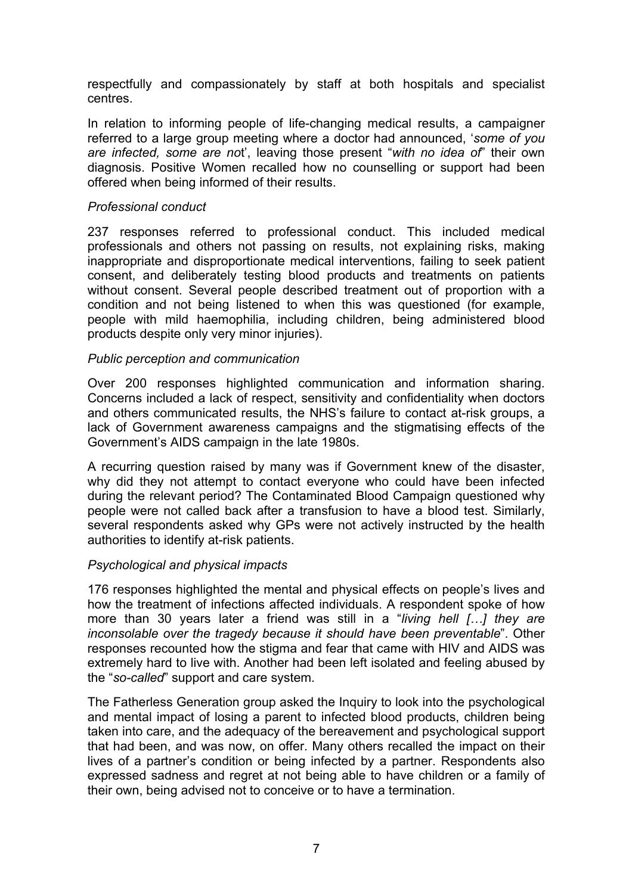respectfully and compassionately by staff at both hospitals and specialist centres.

In relation to informing people of life-changing medical results, a campaigner referred to a large group meeting where a doctor had announced, '*some of you are infected, some are no*t', leaving those present "*with no idea of*" their own diagnosis. Positive Women recalled how no counselling or support had been offered when being informed of their results.

#### *Professional conduct*

237 responses referred to professional conduct. This included medical professionals and others not passing on results, not explaining risks, making inappropriate and disproportionate medical interventions, failing to seek patient consent, and deliberately testing blood products and treatments on patients without consent. Several people described treatment out of proportion with a condition and not being listened to when this was questioned (for example, people with mild haemophilia, including children, being administered blood products despite only very minor injuries).

#### *Public perception and communication*

Over 200 responses highlighted communication and information sharing. Concerns included a lack of respect, sensitivity and confidentiality when doctors and others communicated results, the NHS's failure to contact at-risk groups, a lack of Government awareness campaigns and the stigmatising effects of the Government's AIDS campaign in the late 1980s.

A recurring question raised by many was if Government knew of the disaster, why did they not attempt to contact everyone who could have been infected during the relevant period? The Contaminated Blood Campaign questioned why people were not called back after a transfusion to have a blood test. Similarly, several respondents asked why GPs were not actively instructed by the health authorities to identify at-risk patients.

## *Psychological and physical impacts*

176 responses highlighted the mental and physical effects on people's lives and how the treatment of infections affected individuals. A respondent spoke of how more than 30 years later a friend was still in a "*living hell […] they are inconsolable over the tragedy because it should have been preventable*". Other responses recounted how the stigma and fear that came with HIV and AIDS was extremely hard to live with. Another had been left isolated and feeling abused by the "*so-called*" support and care system.

The Fatherless Generation group asked the Inquiry to look into the psychological and mental impact of losing a parent to infected blood products, children being taken into care, and the adequacy of the bereavement and psychological support that had been, and was now, on offer. Many others recalled the impact on their lives of a partner's condition or being infected by a partner. Respondents also expressed sadness and regret at not being able to have children or a family of their own, being advised not to conceive or to have a termination.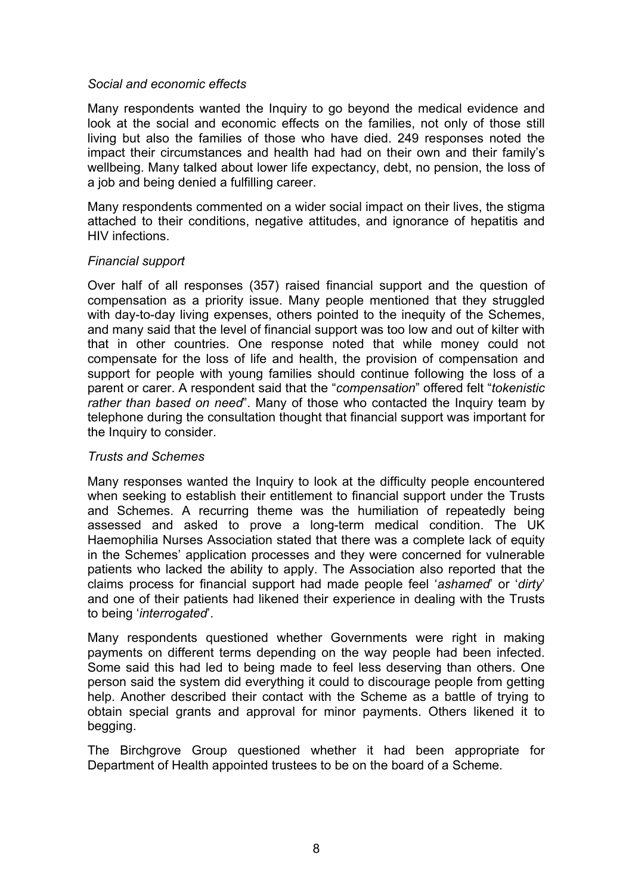## *Social and economic effects*

Many respondents wanted the Inquiry to go beyond the medical evidence and look at the social and economic effects on the families, not only of those still living but also the families of those who have died. 249 responses noted the impact their circumstances and health had had on their own and their family's wellbeing. Many talked about lower life expectancy, debt, no pension, the loss of a job and being denied a fulfilling career.

Many respondents commented on a wider social impact on their lives, the stigma attached to their conditions, negative attitudes, and ignorance of hepatitis and HIV infections.

#### *Financial support*

Over half of all responses (357) raised financial support and the question of compensation as a priority issue. Many people mentioned that they struggled with day-to-day living expenses, others pointed to the inequity of the Schemes, and many said that the level of financial support was too low and out of kilter with that in other countries. One response noted that while money could not compensate for the loss of life and health, the provision of compensation and support for people with young families should continue following the loss of a parent or carer. A respondent said that the "*compensation*" offered felt "*tokenistic rather than based on need*". Many of those who contacted the Inquiry team by telephone during the consultation thought that financial support was important for the Inquiry to consider.

## *Trusts and Schemes*

Many responses wanted the Inquiry to look at the difficulty people encountered when seeking to establish their entitlement to financial support under the Trusts and Schemes. A recurring theme was the humiliation of repeatedly being assessed and asked to prove a long-term medical condition. The UK Haemophilia Nurses Association stated that there was a complete lack of equity in the Schemes' application processes and they were concerned for vulnerable patients who lacked the ability to apply. The Association also reported that the claims process for financial support had made people feel '*ashamed*' or '*dirty*' and one of their patients had likened their experience in dealing with the Trusts to being '*interrogated*'.

Many respondents questioned whether Governments were right in making payments on different terms depending on the way people had been infected. Some said this had led to being made to feel less deserving than others. One person said the system did everything it could to discourage people from getting help. Another described their contact with the Scheme as a battle of trying to obtain special grants and approval for minor payments. Others likened it to begging.

The Birchgrove Group questioned whether it had been appropriate for Department of Health appointed trustees to be on the board of a Scheme.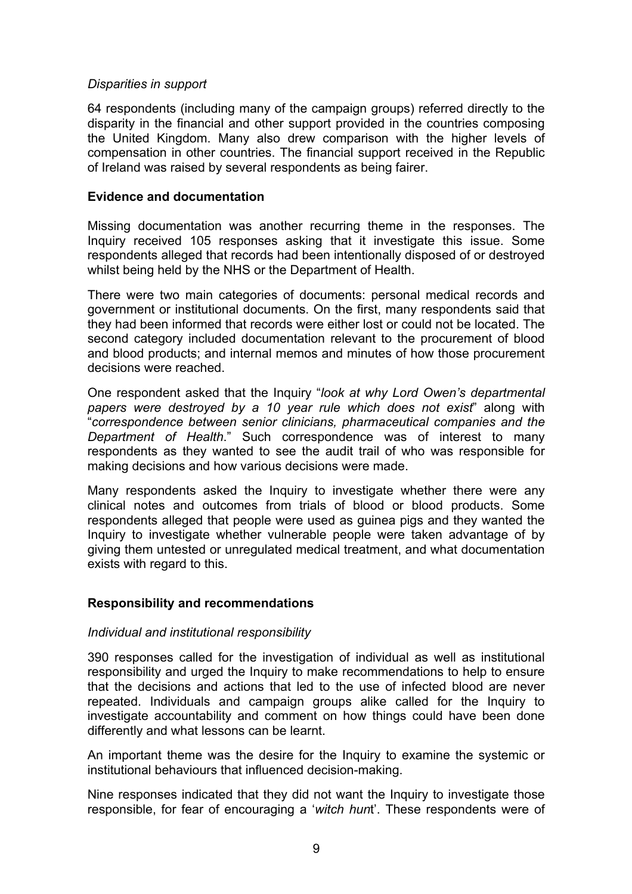#### *Disparities in support*

64 respondents (including many of the campaign groups) referred directly to the disparity in the financial and other support provided in the countries composing the United Kingdom. Many also drew comparison with the higher levels of compensation in other countries. The financial support received in the Republic of Ireland was raised by several respondents as being fairer.

#### **Evidence and documentation**

Missing documentation was another recurring theme in the responses. The Inquiry received 105 responses asking that it investigate this issue. Some respondents alleged that records had been intentionally disposed of or destroyed whilst being held by the NHS or the Department of Health.

There were two main categories of documents: personal medical records and government or institutional documents. On the first, many respondents said that they had been informed that records were either lost or could not be located. The second category included documentation relevant to the procurement of blood and blood products; and internal memos and minutes of how those procurement decisions were reached.

One respondent asked that the Inquiry "*look at why Lord Owen's departmental papers were destroyed by a 10 year rule which does not exist*" along with "*correspondence between senior clinicians, pharmaceutical companies and the Department of Health*." Such correspondence was of interest to many respondents as they wanted to see the audit trail of who was responsible for making decisions and how various decisions were made.

Many respondents asked the Inquiry to investigate whether there were any clinical notes and outcomes from trials of blood or blood products. Some respondents alleged that people were used as guinea pigs and they wanted the Inquiry to investigate whether vulnerable people were taken advantage of by giving them untested or unregulated medical treatment, and what documentation exists with regard to this.

## **Responsibility and recommendations**

#### *Individual and institutional responsibility*

390 responses called for the investigation of individual as well as institutional responsibility and urged the Inquiry to make recommendations to help to ensure that the decisions and actions that led to the use of infected blood are never repeated. Individuals and campaign groups alike called for the Inquiry to investigate accountability and comment on how things could have been done differently and what lessons can be learnt.

An important theme was the desire for the Inquiry to examine the systemic or institutional behaviours that influenced decision-making.

Nine responses indicated that they did not want the Inquiry to investigate those responsible, for fear of encouraging a '*witch hun*t'. These respondents were of